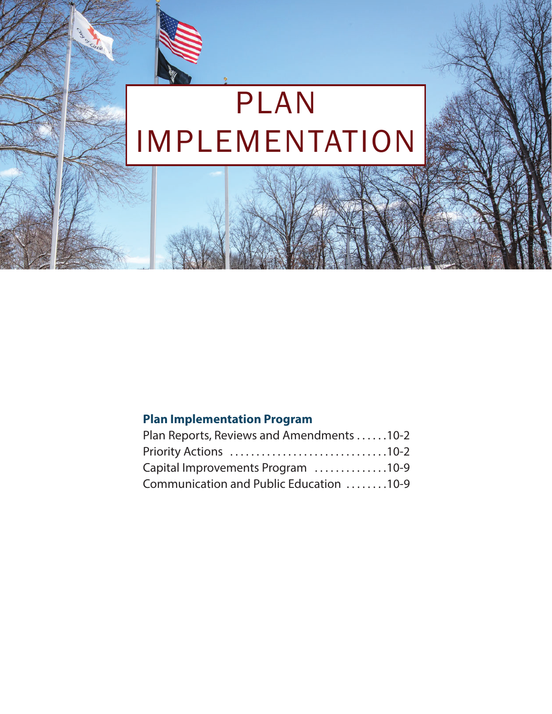# PLAN IMPLEMENTATION

## **Plan Implementation Program**

| Plan Reports, Reviews and Amendments 10-2 |  |
|-------------------------------------------|--|
|                                           |  |
| Capital Improvements Program 10-9         |  |
| Communication and Public Education 10-9   |  |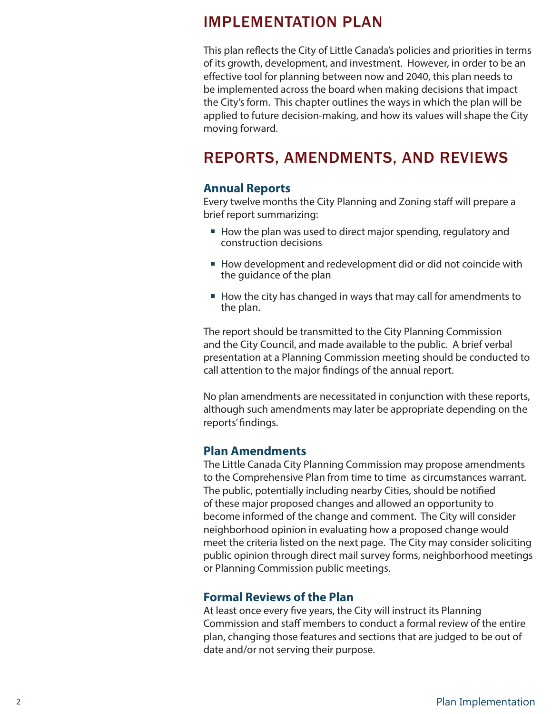## IMPLEMENTATION PLAN

This plan reflects the City of Little Canada's policies and priorities in terms of its growth, development, and investment. However, in order to be an effective tool for planning between now and 2040, this plan needs to be implemented across the board when making decisions that impact the City's form. This chapter outlines the ways in which the plan will be applied to future decision-making, and how its values will shape the City moving forward.

## REPORTS, AMENDMENTS, AND REVIEWS

#### **Annual Reports**

Every twelve months the City Planning and Zoning staff will prepare a brief report summarizing:

- How the plan was used to direct major spending, regulatory and construction decisions
- How development and redevelopment did or did not coincide with the guidance of the plan
- How the city has changed in ways that may call for amendments to the plan.

The report should be transmitted to the City Planning Commission and the City Council, and made available to the public. A brief verbal presentation at a Planning Commission meeting should be conducted to call attention to the major findings of the annual report.

No plan amendments are necessitated in conjunction with these reports, although such amendments may later be appropriate depending on the reports' findings.

#### **Plan Amendments**

The Little Canada City Planning Commission may propose amendments to the Comprehensive Plan from time to time as circumstances warrant. The public, potentially including nearby Cities, should be notified of these major proposed changes and allowed an opportunity to become informed of the change and comment. The City will consider neighborhood opinion in evaluating how a proposed change would meet the criteria listed on the next page. The City may consider soliciting public opinion through direct mail survey forms, neighborhood meetings or Planning Commission public meetings.

#### **Formal Reviews of the Plan**

At least once every five years, the City will instruct its Planning Commission and staff members to conduct a formal review of the entire plan, changing those features and sections that are judged to be out of date and/or not serving their purpose.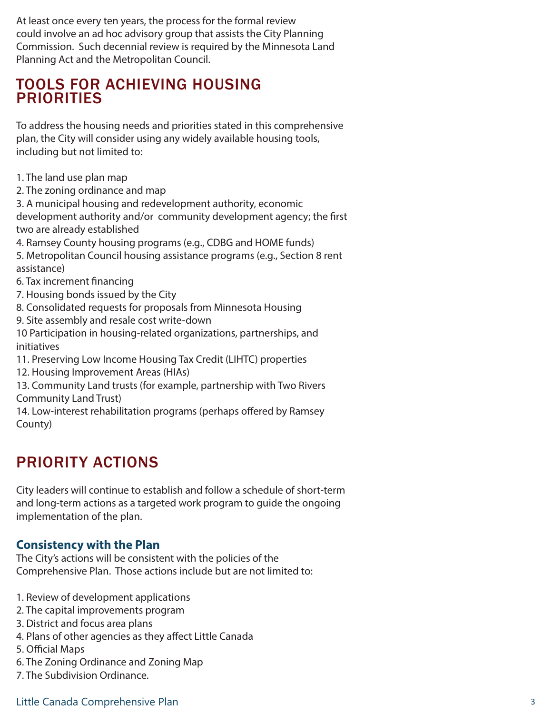At least once every ten years, the process for the formal review could involve an ad hoc advisory group that assists the City Planning Commission. Such decennial review is required by the Minnesota Land Planning Act and the Metropolitan Council.

## TOOLS FOR ACHIEVING HOUSING **PRIORITIES**

To address the housing needs and priorities stated in this comprehensive plan, the City will consider using any widely available housing tools, including but not limited to:

- 1. The land use plan map
- 2. The zoning ordinance and map

3. A municipal housing and redevelopment authority, economic development authority and/or community development agency; the first two are already established

4. Ramsey County housing programs (e.g., CDBG and HOME funds)

5. Metropolitan Council housing assistance programs (e.g., Section 8 rent assistance)

- 6. Tax increment financing
- 7. Housing bonds issued by the City
- 8. Consolidated requests for proposals from Minnesota Housing
- 9. Site assembly and resale cost write-down
- 10 Participation in housing-related organizations, partnerships, and initiatives
- 11. Preserving Low Income Housing Tax Credit (LIHTC) properties
- 12. Housing Improvement Areas (HIAs)
- 13. Community Land trusts (for example, partnership with Two Rivers Community Land Trust)

14. Low-interest rehabilitation programs (perhaps offered by Ramsey County)

## PRIORITY ACTIONS

City leaders will continue to establish and follow a schedule of short-term and long-term actions as a targeted work program to guide the ongoing implementation of the plan.

## **Consistency with the Plan**

The City's actions will be consistent with the policies of the Comprehensive Plan. Those actions include but are not limited to:

- 1. Review of development applications
- 2. The capital improvements program
- 3. District and focus area plans
- 4. Plans of other agencies as they affect Little Canada
- 5. Official Maps
- 6. The Zoning Ordinance and Zoning Map
- 7. The Subdivision Ordinance.

### Little Canada Comprehensive Plan 3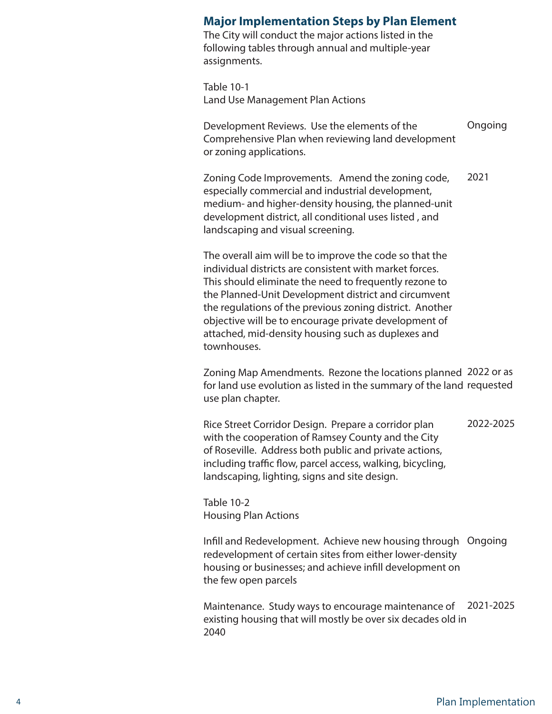#### **Major Implementation Steps by Plan Element**

The City will conduct the major actions listed in the following tables through annual and multiple-year assignments.

Table 10-1 Land Use Management Plan Actions

Development Reviews. Use the elements of the Comprehensive Plan when reviewing land development or zoning applications. Ongoing

Zoning Code Improvements. Amend the zoning code, especially commercial and industrial development, medium- and higher-density housing, the planned-unit development district, all conditional uses listed , and landscaping and visual screening. 2021

The overall aim will be to improve the code so that the individual districts are consistent with market forces. This should eliminate the need to frequently rezone to the Planned-Unit Development district and circumvent the regulations of the previous zoning district. Another objective will be to encourage private development of attached, mid-density housing such as duplexes and townhouses.

Zoning Map Amendments. Rezone the locations planned 2022 or as for land use evolution as listed in the summary of the land requested use plan chapter.

Rice Street Corridor Design. Prepare a corridor plan with the cooperation of Ramsey County and the City of Roseville. Address both public and private actions, including traffic flow, parcel access, walking, bicycling, landscaping, lighting, signs and site design. 2022-2025

Table 10-2 Housing Plan Actions

Infill and Redevelopment. Achieve new housing through Ongoing redevelopment of certain sites from either lower-density housing or businesses; and achieve infill development on the few open parcels

Maintenance. Study ways to encourage maintenance of 2021-2025existing housing that will mostly be over six decades old in 2040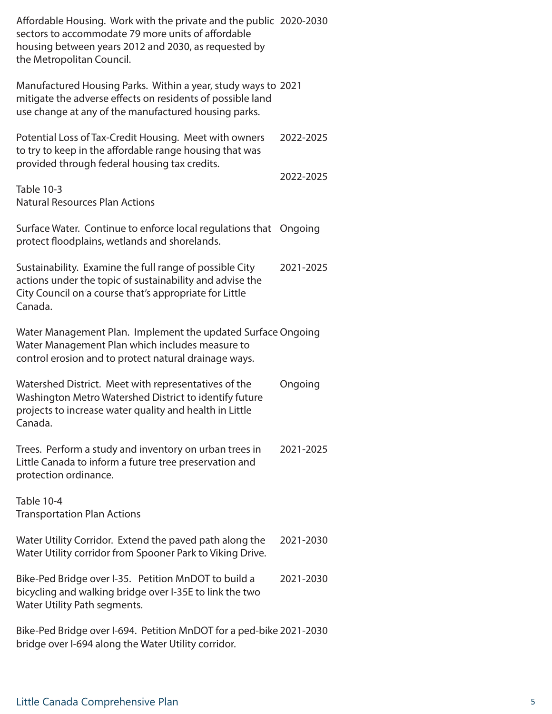Affordable Housing. Work with the private and the public 2020-2030 sectors to accommodate 79 more units of affordable housing between years 2012 and 2030, as requested by the Metropolitan Council.

Manufactured Housing Parks. Within a year, study ways to 2021 mitigate the adverse effects on residents of possible land use change at any of the manufactured housing parks.

Potential Loss of Tax-Credit Housing. Meet with owners to try to keep in the affordable range housing that was provided through federal housing tax credits. 2022-2025 2022-2025

Table 10-3 Natural Resources Plan Actions

Surface Water. Continue to enforce local regulations that Ongoing protect floodplains, wetlands and shorelands.

Sustainability. Examine the full range of possible City actions under the topic of sustainability and advise the City Council on a course that's appropriate for Little Canada. 2021-2025

Water Management Plan. Implement the updated Surface Ongoing Water Management Plan which includes measure to control erosion and to protect natural drainage ways.

Watershed District. Meet with representatives of the Washington Metro Watershed District to identify future projects to increase water quality and health in Little Canada. Ongoing

Trees. Perform a study and inventory on urban trees in Little Canada to inform a future tree preservation and protection ordinance. 2021-2025

Table 10-4 Transportation Plan Actions

- Water Utility Corridor. Extend the paved path along the Water Utility corridor from Spooner Park to Viking Drive. 2021-2030
- Bike-Ped Bridge over I-35. Petition MnDOT to build a bicycling and walking bridge over I-35E to link the two Water Utility Path segments. 2021-2030

Bike-Ped Bridge over I-694. Petition MnDOT for a ped-bike 2021-2030bridge over I-694 along the Water Utility corridor.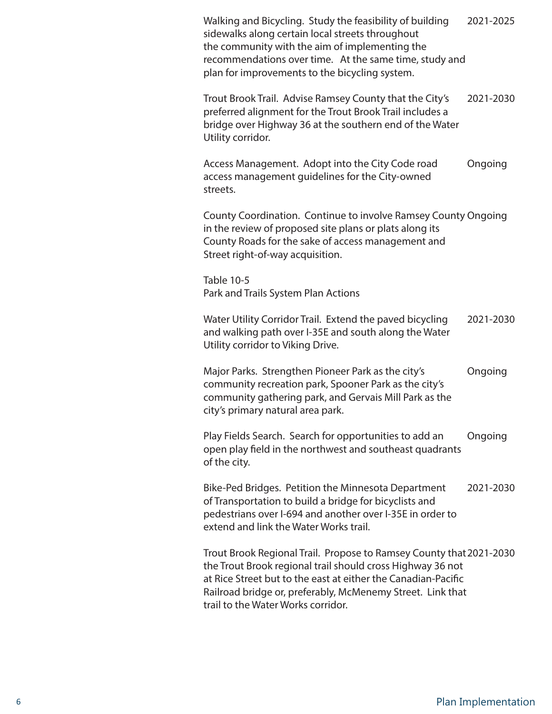| Walking and Bicycling. Study the feasibility of building<br>sidewalks along certain local streets throughout<br>the community with the aim of implementing the<br>recommendations over time. At the same time, study and<br>plan for improvements to the bicycling system.                             | 2021-2025 |  |
|--------------------------------------------------------------------------------------------------------------------------------------------------------------------------------------------------------------------------------------------------------------------------------------------------------|-----------|--|
| Trout Brook Trail. Advise Ramsey County that the City's<br>preferred alignment for the Trout Brook Trail includes a<br>bridge over Highway 36 at the southern end of the Water<br>Utility corridor.                                                                                                    | 2021-2030 |  |
| Access Management. Adopt into the City Code road<br>access management guidelines for the City-owned<br>streets.                                                                                                                                                                                        | Ongoing   |  |
| County Coordination. Continue to involve Ramsey County Ongoing<br>in the review of proposed site plans or plats along its<br>County Roads for the sake of access management and<br>Street right-of-way acquisition.                                                                                    |           |  |
| Table 10-5<br>Park and Trails System Plan Actions                                                                                                                                                                                                                                                      |           |  |
| Water Utility Corridor Trail. Extend the paved bicycling<br>and walking path over I-35E and south along the Water<br>Utility corridor to Viking Drive.                                                                                                                                                 | 2021-2030 |  |
| Major Parks. Strengthen Pioneer Park as the city's<br>community recreation park, Spooner Park as the city's<br>community gathering park, and Gervais Mill Park as the<br>city's primary natural area park.                                                                                             | Ongoing   |  |
| Play Fields Search. Search for opportunities to add an<br>open play field in the northwest and southeast quadrants<br>of the city.                                                                                                                                                                     | Ongoing   |  |
| Bike-Ped Bridges. Petition the Minnesota Department<br>of Transportation to build a bridge for bicyclists and<br>pedestrians over I-694 and another over I-35E in order to<br>extend and link the Water Works trail.                                                                                   | 2021-2030 |  |
| Trout Brook Regional Trail. Propose to Ramsey County that 2021-2030<br>the Trout Brook regional trail should cross Highway 36 not<br>at Rice Street but to the east at either the Canadian-Pacific<br>Railroad bridge or, preferably, McMenemy Street. Link that<br>trail to the Water Works corridor. |           |  |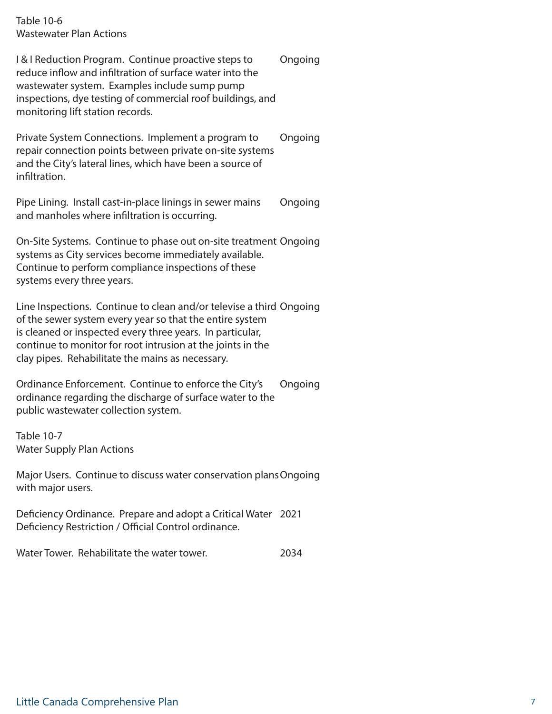Table 10-6 Wastewater Plan Actions

I & I Reduction Program. Continue proactive steps to reduce inflow and infiltration of surface water into the wastewater system. Examples include sump pump inspections, dye testing of commercial roof buildings, and monitoring lift station records. Ongoing

Private System Connections. Implement a program to repair connection points between private on-site systems and the City's lateral lines, which have been a source of infiltration. Ongoing

Pipe Lining. Install cast-in-place linings in sewer mains and manholes where infiltration is occurring. Ongoing

On-Site Systems. Continue to phase out on-site treatment Ongoing systems as City services become immediately available. Continue to perform compliance inspections of these systems every three years.

Line Inspections. Continue to clean and/or televise a third Ongoing of the sewer system every year so that the entire system is cleaned or inspected every three years. In particular, continue to monitor for root intrusion at the joints in the clay pipes. Rehabilitate the mains as necessary.

Ordinance Enforcement. Continue to enforce the City's ordinance regarding the discharge of surface water to the public wastewater collection system. Ongoing

Table 10-7 Water Supply Plan Actions

Major Users. Continue to discuss water conservation plans Ongoing with major users.

Deficiency Ordinance. Prepare and adopt a Critical Water 2021 Deficiency Restriction / Official Control ordinance.

Water Tower. Rehabilitate the water tower. 2034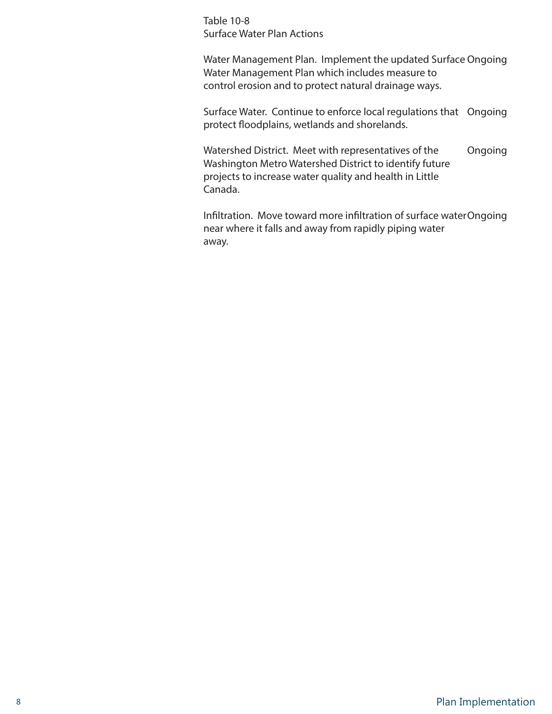Table 10-8 Surface Water Plan Actions

Water Management Plan. Implement the updated Surface Ongoing Water Management Plan which includes measure to control erosion and to protect natural drainage ways.

Surface Water. Continue to enforce local regulations that Ongoing protect floodplains, wetlands and shorelands.

Watershed District. Meet with representatives of the Washington Metro Watershed District to identify future projects to increase water quality and health in Little Canada. Ongoing

Infiltration. Move toward more infiltration of surface water Ongoing near where it falls and away from rapidly piping water away.